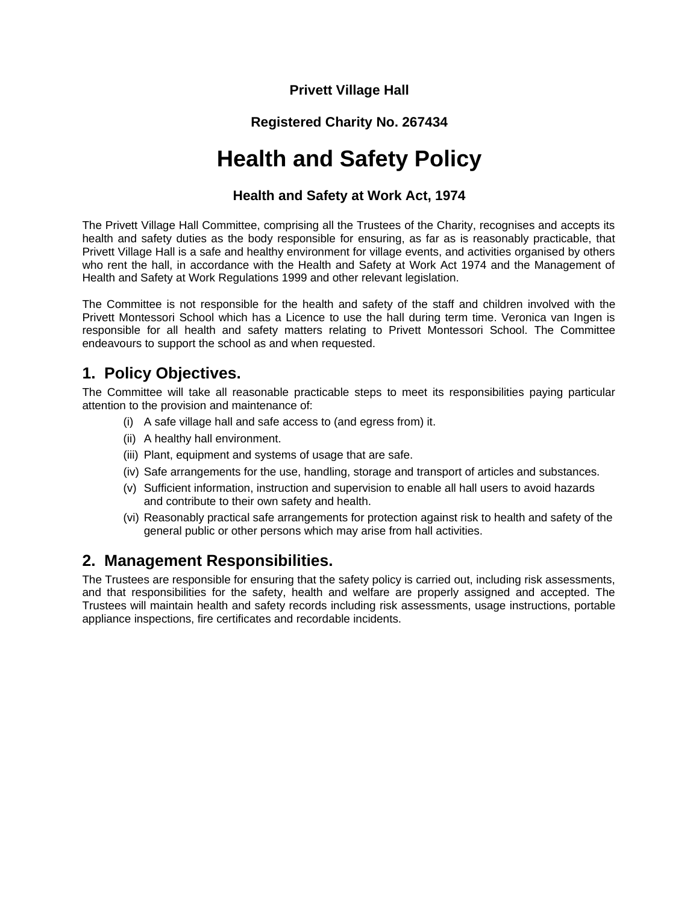#### **Privett Village Hall**

#### **Registered Charity No. 267434**

# **Health and Safety Policy**

#### **Health and Safety at Work Act, 1974**

The Privett Village Hall Committee, comprising all the Trustees of the Charity, recognises and accepts its health and safety duties as the body responsible for ensuring, as far as is reasonably practicable, that Privett Village Hall is a safe and healthy environment for village events, and activities organised by others who rent the hall, in accordance with the Health and Safety at Work Act 1974 and the Management of Health and Safety at Work Regulations 1999 and other relevant legislation.

The Committee is not responsible for the health and safety of the staff and children involved with the Privett Montessori School which has a Licence to use the hall during term time. Veronica van Ingen is responsible for all health and safety matters relating to Privett Montessori School. The Committee endeavours to support the school as and when requested.

### **1. Policy Objectives.**

The Committee will take all reasonable practicable steps to meet its responsibilities paying particular attention to the provision and maintenance of:

- (i) A safe village hall and safe access to (and egress from) it.
- (ii) A healthy hall environment.
- (iii) Plant, equipment and systems of usage that are safe.
- (iv) Safe arrangements for the use, handling, storage and transport of articles and substances.
- (v) Sufficient information, instruction and supervision to enable all hall users to avoid hazards and contribute to their own safety and health.
- (vi) Reasonably practical safe arrangements for protection against risk to health and safety of the general public or other persons which may arise from hall activities.

### **2. Management Responsibilities.**

The Trustees are responsible for ensuring that the safety policy is carried out, including risk assessments, and that responsibilities for the safety, health and welfare are properly assigned and accepted. The Trustees will maintain health and safety records including risk assessments, usage instructions, portable appliance inspections, fire certificates and recordable incidents.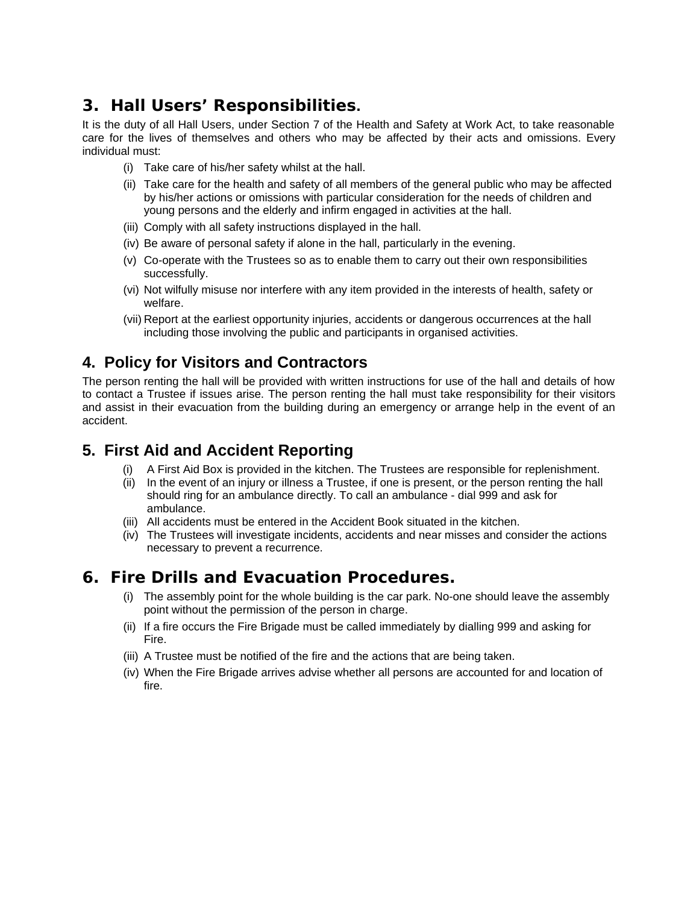# **3. Hall Users' Responsibilities.**

It is the duty of all Hall Users, under Section 7 of the Health and Safety at Work Act, to take reasonable care for the lives of themselves and others who may be affected by their acts and omissions. Every individual must:

- (i) Take care of his/her safety whilst at the hall.
- (ii) Take care for the health and safety of all members of the general public who may be affected by his/her actions or omissions with particular consideration for the needs of children and young persons and the elderly and infirm engaged in activities at the hall.
- (iii) Comply with all safety instructions displayed in the hall.
- (iv) Be aware of personal safety if alone in the hall, particularly in the evening.
- (v) Co-operate with the Trustees so as to enable them to carry out their own responsibilities successfully.
- (vi) Not wilfully misuse nor interfere with any item provided in the interests of health, safety or welfare.
- (vii) Report at the earliest opportunity injuries, accidents or dangerous occurrences at the hall including those involving the public and participants in organised activities.

### **4. Policy for Visitors and Contractors**

The person renting the hall will be provided with written instructions for use of the hall and details of how to contact a Trustee if issues arise. The person renting the hall must take responsibility for their visitors and assist in their evacuation from the building during an emergency or arrange help in the event of an accident.

### **5. First Aid and Accident Reporting**

- (i) A First Aid Box is provided in the kitchen. The Trustees are responsible for replenishment.
- (ii) In the event of an injury or illness a Trustee, if one is present, or the person renting the hall should ring for an ambulance directly. To call an ambulance - dial 999 and ask for ambulance.
- (iii) All accidents must be entered in the Accident Book situated in the kitchen.
- (iv) The Trustees will investigate incidents, accidents and near misses and consider the actions necessary to prevent a recurrence.

## **6. Fire Drills and Evacuation Procedures.**

- (i) The assembly point for the whole building is the car park. No-one should leave the assembly point without the permission of the person in charge.
- (ii) If a fire occurs the Fire Brigade must be called immediately by dialling 999 and asking for Fire.
- (iii) A Trustee must be notified of the fire and the actions that are being taken.
- (iv) When the Fire Brigade arrives advise whether all persons are accounted for and location of fire.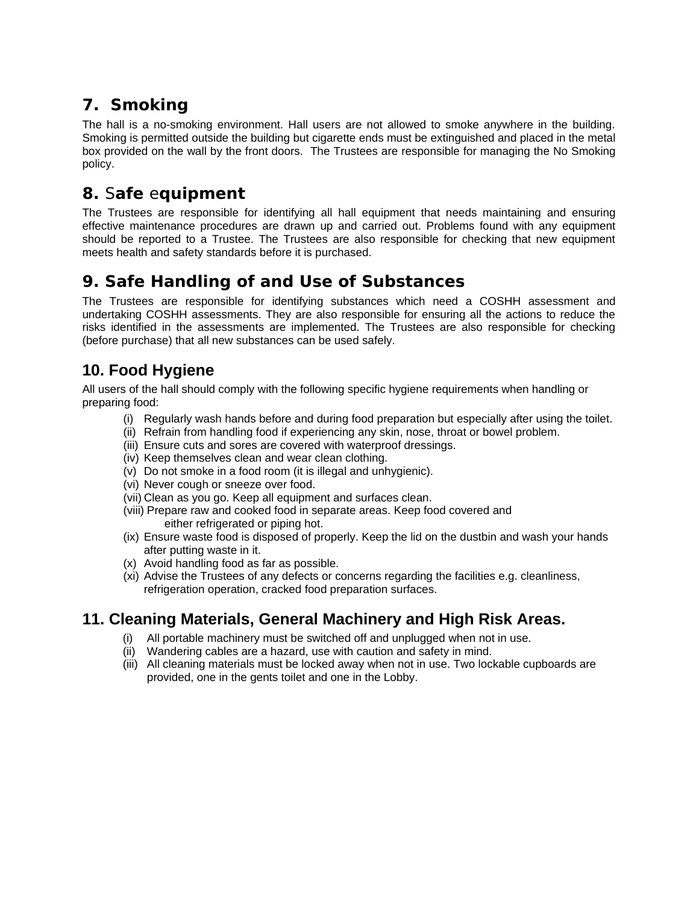# **7. Smoking**

The hall is a no-smoking environment. Hall users are not allowed to smoke anywhere in the building. Smoking is permitted outside the building but cigarette ends must be extinguished and placed in the metal box provided on the wall by the front doors. The Trustees are responsible for managing the No Smoking policy.

# **8.** S**afe** e**quipment**

The Trustees are responsible for identifying all hall equipment that needs maintaining and ensuring effective maintenance procedures are drawn up and carried out. Problems found with any equipment should be reported to a Trustee. The Trustees are also responsible for checking that new equipment meets health and safety standards before it is purchased.

# **9. Safe Handling of and Use of Substances**

The Trustees are responsible for identifying substances which need a COSHH assessment and undertaking COSHH assessments. They are also responsible for ensuring all the actions to reduce the risks identified in the assessments are implemented. The Trustees are also responsible for checking (before purchase) that all new substances can be used safely.

## **10. Food Hygiene**

All users of the hall should comply with the following specific hygiene requirements when handling or preparing food:

- (i) Regularly wash hands before and during food preparation but especially after using the toilet.
- (ii) Refrain from handling food if experiencing any skin, nose, throat or bowel problem.
- (iii) Ensure cuts and sores are covered with waterproof dressings.
- (iv) Keep themselves clean and wear clean clothing.
- (v) Do not smoke in a food room (it is illegal and unhygienic).
- (vi) Never cough or sneeze over food.
- (vii) Clean as you go. Keep all equipment and surfaces clean.
- (viii) Prepare raw and cooked food in separate areas. Keep food covered and either refrigerated or piping hot.
- (ix) Ensure waste food is disposed of properly. Keep the lid on the dustbin and wash your hands after putting waste in it.
- (x) Avoid handling food as far as possible.
- (xi) Advise the Trustees of any defects or concerns regarding the facilities e.g. cleanliness, refrigeration operation, cracked food preparation surfaces.

## **11. Cleaning Materials, General Machinery and High Risk Areas.**

- (i) All portable machinery must be switched off and unplugged when not in use.
- (ii) Wandering cables are a hazard, use with caution and safety in mind.
- (iii) All cleaning materials must be locked away when not in use. Two lockable cupboards are provided, one in the gents toilet and one in the Lobby.